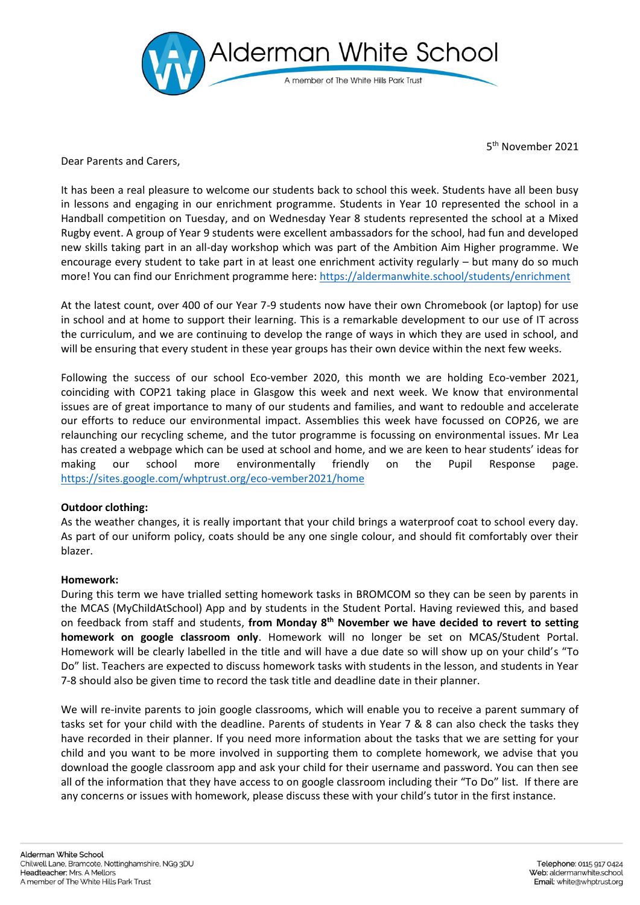

5 th November 2021

Dear Parents and Carers,

It has been a real pleasure to welcome our students back to school this week. Students have all been busy in lessons and engaging in our enrichment programme. Students in Year 10 represented the school in a Handball competition on Tuesday, and on Wednesday Year 8 students represented the school at a Mixed Rugby event. A group of Year 9 students were excellent ambassadors for the school, had fun and developed new skills taking part in an all-day workshop which was part of the Ambition Aim Higher programme. We encourage every student to take part in at least one enrichment activity regularly – but many do so much more! You can find our Enrichment programme here:<https://aldermanwhite.school/students/enrichment>

At the latest count, over 400 of our Year 7-9 students now have their own Chromebook (or laptop) for use in school and at home to support their learning. This is a remarkable development to our use of IT across the curriculum, and we are continuing to develop the range of ways in which they are used in school, and will be ensuring that every student in these year groups has their own device within the next few weeks.

Following the success of our school Eco-vember 2020, this month we are holding Eco-vember 2021, coinciding with COP21 taking place in Glasgow this week and next week. We know that environmental issues are of great importance to many of our students and families, and want to redouble and accelerate our efforts to reduce our environmental impact. Assemblies this week have focussed on COP26, we are relaunching our recycling scheme, and the tutor programme is focussing on environmental issues. Mr Lea has created a webpage which can be used at school and home, and we are keen to hear students' ideas for making our school more environmentally friendly on the Pupil Response page. <https://sites.google.com/whptrust.org/eco-vember2021/home>

# **Outdoor clothing:**

As the weather changes, it is really important that your child brings a waterproof coat to school every day. As part of our uniform policy, coats should be any one single colour, and should fit comfortably over their blazer.

## **Homework:**

During this term we have trialled setting homework tasks in BROMCOM so they can be seen by parents in the MCAS (MyChildAtSchool) App and by students in the Student Portal. Having reviewed this, and based on feedback from staff and students, **from Monday 8th November we have decided to revert to setting homework on google classroom only**. Homework will no longer be set on MCAS/Student Portal. Homework will be clearly labelled in the title and will have a due date so will show up on your child's "To Do" list. Teachers are expected to discuss homework tasks with students in the lesson, and students in Year 7-8 should also be given time to record the task title and deadline date in their planner.

We will re-invite parents to join google classrooms, which will enable you to receive a parent summary of tasks set for your child with the deadline. Parents of students in Year 7 & 8 can also check the tasks they have recorded in their planner. If you need more information about the tasks that we are setting for your child and you want to be more involved in supporting them to complete homework, we advise that you download the google classroom app and ask your child for their username and password. You can then see all of the information that they have access to on google classroom including their "To Do" list. If there are any concerns or issues with homework, please discuss these with your child's tutor in the first instance.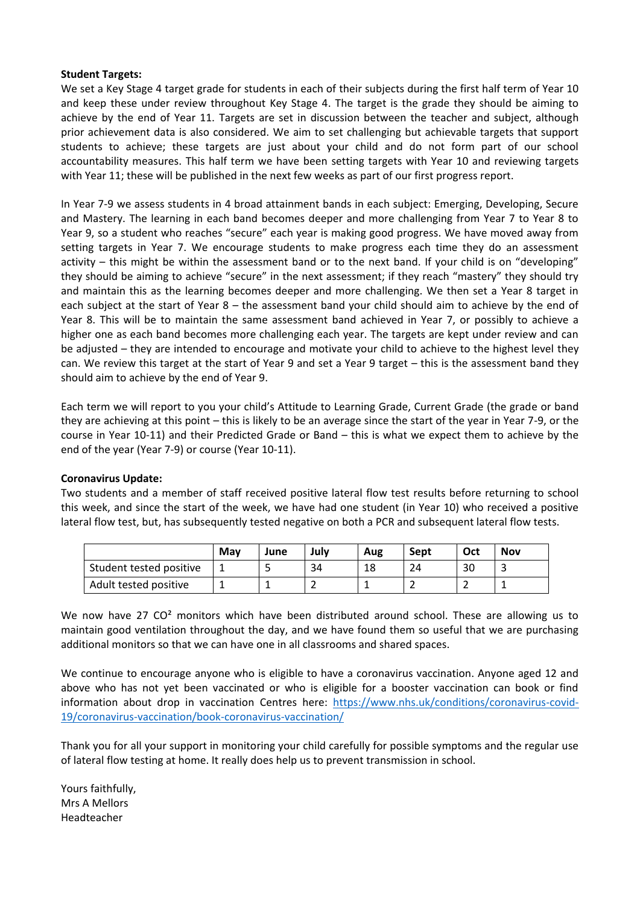#### **Student Targets:**

We set a Key Stage 4 target grade for students in each of their subjects during the first half term of Year 10 and keep these under review throughout Key Stage 4. The target is the grade they should be aiming to achieve by the end of Year 11. Targets are set in discussion between the teacher and subject, although prior achievement data is also considered. We aim to set challenging but achievable targets that support students to achieve; these targets are just about your child and do not form part of our school accountability measures. This half term we have been setting targets with Year 10 and reviewing targets with Year 11; these will be published in the next few weeks as part of our first progress report.

In Year 7-9 we assess students in 4 broad attainment bands in each subject: Emerging, Developing, Secure and Mastery. The learning in each band becomes deeper and more challenging from Year 7 to Year 8 to Year 9, so a student who reaches "secure" each year is making good progress. We have moved away from setting targets in Year 7. We encourage students to make progress each time they do an assessment activity – this might be within the assessment band or to the next band. If your child is on "developing" they should be aiming to achieve "secure" in the next assessment; if they reach "mastery" they should try and maintain this as the learning becomes deeper and more challenging. We then set a Year 8 target in each subject at the start of Year 8 – the assessment band your child should aim to achieve by the end of Year 8. This will be to maintain the same assessment band achieved in Year 7, or possibly to achieve a higher one as each band becomes more challenging each year. The targets are kept under review and can be adjusted – they are intended to encourage and motivate your child to achieve to the highest level they can. We review this target at the start of Year 9 and set a Year 9 target – this is the assessment band they should aim to achieve by the end of Year 9.

Each term we will report to you your child's Attitude to Learning Grade, Current Grade (the grade or band they are achieving at this point – this is likely to be an average since the start of the year in Year 7-9, or the course in Year 10-11) and their Predicted Grade or Band – this is what we expect them to achieve by the end of the year (Year 7-9) or course (Year 10-11).

## **Coronavirus Update:**

Two students and a member of staff received positive lateral flow test results before returning to school this week, and since the start of the week, we have had one student (in Year 10) who received a positive lateral flow test, but, has subsequently tested negative on both a PCR and subsequent lateral flow tests.

|                         | Mav | June | Julv | Aug | Sept | Oct | <b>Nov</b> |
|-------------------------|-----|------|------|-----|------|-----|------------|
| Student tested positive |     |      | 34   | 18  | 24   | 30  | -          |
| Adult tested positive   |     |      |      |     |      |     |            |

We now have 27 CO<sup>2</sup> monitors which have been distributed around school. These are allowing us to maintain good ventilation throughout the day, and we have found them so useful that we are purchasing additional monitors so that we can have one in all classrooms and shared spaces.

We continue to encourage anyone who is eligible to have a coronavirus vaccination. Anyone aged 12 and above who has not yet been vaccinated or who is eligible for a booster vaccination can book or find information about drop in vaccination Centres here: [https://www.nhs.uk/conditions/coronavirus-covid-](https://www.nhs.uk/conditions/coronavirus-covid-19/coronavirus-vaccination/book-coronavirus-vaccination/)[19/coronavirus-vaccination/book-coronavirus-vaccination/](https://www.nhs.uk/conditions/coronavirus-covid-19/coronavirus-vaccination/book-coronavirus-vaccination/)

Thank you for all your support in monitoring your child carefully for possible symptoms and the regular use of lateral flow testing at home. It really does help us to prevent transmission in school.

Yours faithfully, Mrs A Mellors Headteacher